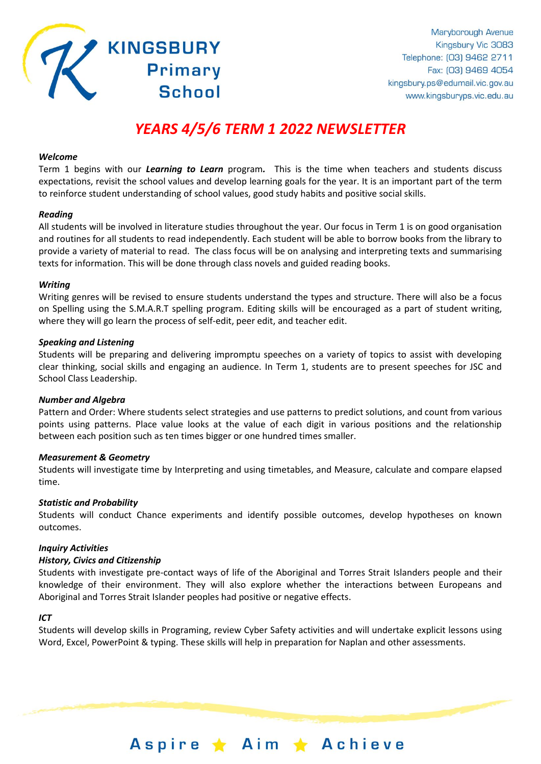

# *YEARS 4/5/6 TERM 1 2022 NEWSLETTER*

**Primary** 

**School** 

## *Welcome*

Term 1 begins with our *Learning to Learn* program*.* This is the time when teachers and students discuss expectations, revisit the school values and develop learning goals for the year. It is an important part of the term to reinforce student understanding of school values, good study habits and positive social skills.

## *Reading*

All students will be involved in literature studies throughout the year. Our focus in Term 1 is on good organisation and routines for all students to read independently. Each student will be able to borrow books from the library to provide a variety of material to read. The class focus will be on analysing and interpreting texts and summarising texts for information. This will be done through class novels and guided reading books.

#### *Writing*

Writing genres will be revised to ensure students understand the types and structure. There will also be a focus on Spelling using the S.M.A.R.T spelling program. Editing skills will be encouraged as a part of student writing, where they will go learn the process of self-edit, peer edit, and teacher edit.

## *Speaking and Listening*

Students will be preparing and delivering impromptu speeches on a variety of topics to assist with developing clear thinking, social skills and engaging an audience. In Term 1, students are to present speeches for JSC and School Class Leadership.

# *Number and Algebra*

Pattern and Order: Where students select strategies and use patterns to predict solutions, and count from various points using patterns. Place value looks at the value of each digit in various positions and the relationship between each position such as ten times bigger or one hundred times smaller.

#### *Measurement & Geometry*

Students will investigate time by Interpreting and using timetables, and Measure, calculate and compare elapsed time.

#### *Statistic and Probability*

Students will conduct Chance experiments and identify possible outcomes, develop hypotheses on known outcomes.

#### *Inquiry Activities*

#### *History, Civics and Citizenship*

Students with investigate pre-contact ways of life of the Aboriginal and Torres Strait Islanders people and their knowledge of their environment. They will also explore whether the interactions between Europeans and Aboriginal and Torres Strait Islander peoples had positive or negative effects.

# *ICT*

Students will develop skills in Programing, review Cyber Safety activities and will undertake explicit lessons using Word, Excel, PowerPoint & typing. These skills will help in preparation for Naplan and other assessments.